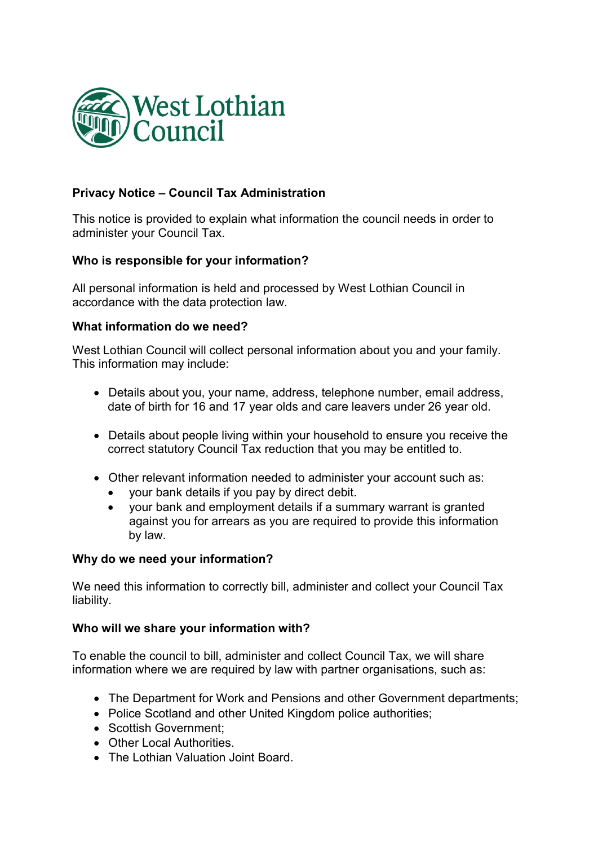

# Privacy Notice – Council Tax Administration

This notice is provided to explain what information the council needs in order to administer your Council Tax.

## Who is responsible for your information?

All personal information is held and processed by West Lothian Council in accordance with the data protection law.

## What information do we need?

West Lothian Council will collect personal information about you and your family. This information may include:

- Details about you, your name, address, telephone number, email address, date of birth for 16 and 17 year olds and care leavers under 26 year old.
- Details about people living within your household to ensure you receive the correct statutory Council Tax reduction that you may be entitled to.
- Other relevant information needed to administer your account such as:
	- your bank details if you pay by direct debit.
	- your bank and employment details if a summary warrant is granted against you for arrears as you are required to provide this information by law.

## Why do we need your information?

We need this information to correctly bill, administer and collect your Council Tax liability.

## Who will we share your information with?

To enable the council to bill, administer and collect Council Tax, we will share information where we are required by law with partner organisations, such as:

- The Department for Work and Pensions and other Government departments;
- Police Scotland and other United Kingdom police authorities:
- Scottish Government:
- Other Local Authorities
- The Lothian Valuation Joint Board.